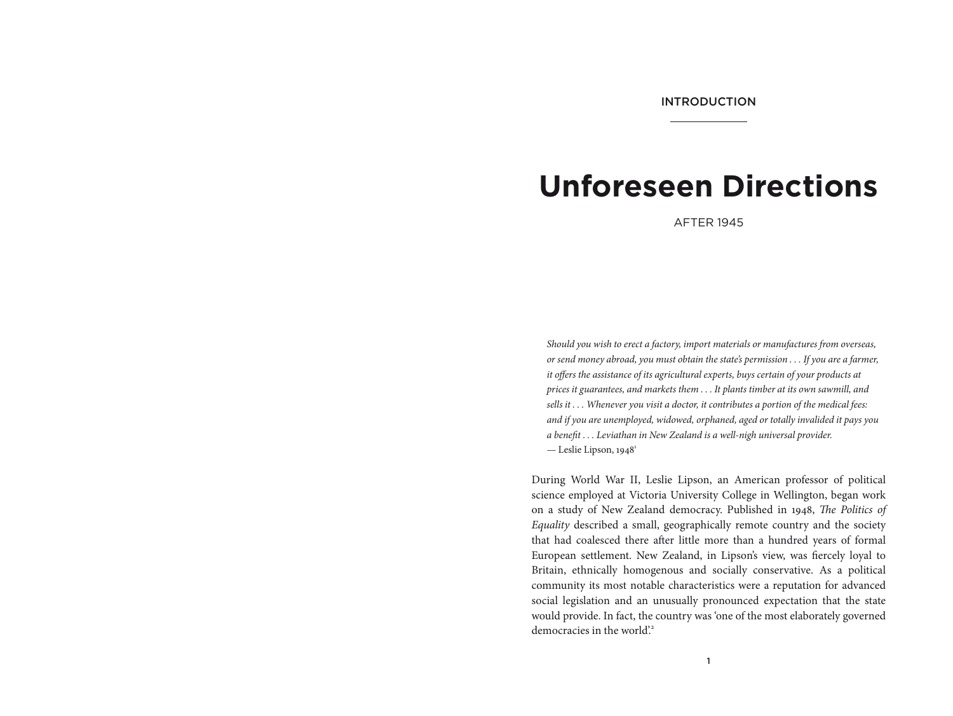# **Unforeseen Directions**

AFTER 1945

*Should you wish to erect a factory, import materials or manufactures from overseas, or send money abroad, you must obtain the state's permission . . . If you are a farmer, it offers the assistance of its agricultural experts, buys certain of your products at prices it guarantees, and markets them . . . It plants timber at its own sawmill, and sells it . . . Whenever you visit a doctor, it contributes a portion of the medical fees: and if you are unemployed, widowed, orphaned, aged or totally invalided it pays you a benefit . . . Leviathan in New Zealand is a well-nigh universal provider.*  — Leslie Lipson,  $1948^1$ 

During World War II, Leslie Lipson, an American professor of political science employed at Victoria University College in Wellington, began work on a study of New Zealand democracy. Published in 1948, *The Politics of Equality* described a small, geographically remote country and the society that had coalesced there after little more than a hundred years of formal European settlement. New Zealand, in Lipson's view, was fiercely loyal to Britain, ethnically homogenous and socially conservative. As a political community its most notable characteristics were a reputation for advanced social legislation and an unusually pronounced expectation that the state would provide. In fact, the country was 'one of the most elaborately governed democracies in the world.<sup>2</sup>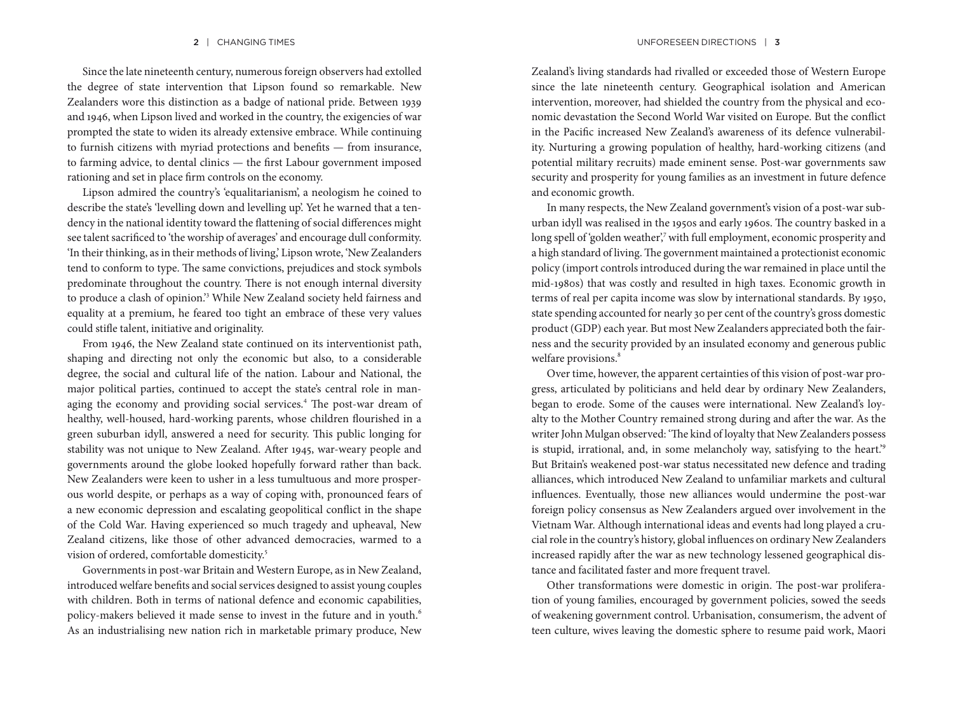Since the late nineteenth century, numerous foreign observers had extolled the degree of state intervention that Lipson found so remarkable. New Zealanders wore this distinction as a badge of national pride. Between 1939 and 1946, when Lipson lived and worked in the country, the exigencies of war prompted the state to widen its already extensive embrace. While continuing to furnish citizens with myriad protections and benefits — from insurance, to farming advice, to dental clinics — the first Labour government imposed rationing and set in place firm controls on the economy.

Lipson admired the country's 'equalitarianism', a neologism he coined to describe the state's 'levelling down and levelling up'. Yet he warned that a tendency in the national identity toward the flattening of social differences might see talent sacrificed to 'the worship of averages' and encourage dull conformity. 'In their thinking, as in their methods of living,' Lipson wrote, 'New Zealanders tend to conform to type. The same convictions, prejudices and stock symbols predominate throughout the country. There is not enough internal diversity to produce a clash of opinion.'<sup>3</sup> While New Zealand society held fairness and equality at a premium, he feared too tight an embrace of these very values could stifle talent, initiative and originality.

From 1946, the New Zealand state continued on its interventionist path, shaping and directing not only the economic but also, to a considerable degree, the social and cultural life of the nation. Labour and National, the major political parties, continued to accept the state's central role in managing the economy and providing social services.<sup>4</sup> The post-war dream of healthy, well-housed, hard-working parents, whose children flourished in a green suburban idyll, answered a need for security. This public longing for stability was not unique to New Zealand. After 1945, war-weary people and governments around the globe looked hopefully forward rather than back. New Zealanders were keen to usher in a less tumultuous and more prosperous world despite, or perhaps as a way of coping with, pronounced fears of a new economic depression and escalating geopolitical conflict in the shape of the Cold War. Having experienced so much tragedy and upheaval, New Zealand citizens, like those of other advanced democracies, warmed to a vision of ordered, comfortable domesticity.<sup>5</sup>

Governments in post-war Britain and Western Europe, as in New Zealand, introduced welfare benefits and social services designed to assist young couples with children. Both in terms of national defence and economic capabilities, policy-makers believed it made sense to invest in the future and in youth.<sup>6</sup> As an industrialising new nation rich in marketable primary produce, New

Zealand's living standards had rivalled or exceeded those of Western Europe since the late nineteenth century. Geographical isolation and American intervention, moreover, had shielded the country from the physical and economic devastation the Second World War visited on Europe. But the conflict in the Pacific increased New Zealand's awareness of its defence vulnerability. Nurturing a growing population of healthy, hard-working citizens (and potential military recruits) made eminent sense. Post-war governments saw security and prosperity for young families as an investment in future defence and economic growth.

In many respects, the New Zealand government's vision of a post-war suburban idyll was realised in the 1950s and early 1960s. The country basked in a long spell of 'golden weather', with full employment, economic prosperity and a high standard of living. The government maintained a protectionist economic policy (import controls introduced during the war remained in place until the mid-1980s) that was costly and resulted in high taxes. Economic growth in terms of real per capita income was slow by international standards. By 1950, state spending accounted for nearly 30 per cent of the country's gross domestic product (GDP) each year. But most New Zealanders appreciated both the fairness and the security provided by an insulated economy and generous public welfare provisions.<sup>8</sup>

Over time, however, the apparent certainties of this vision of post-war progress, articulated by politicians and held dear by ordinary New Zealanders, began to erode. Some of the causes were international. New Zealand's loyalty to the Mother Country remained strong during and after the war. As the writer John Mulgan observed: 'The kind of loyalty that New Zealanders possess is stupid, irrational, and, in some melancholy way, satisfying to the heart.'<sup>9</sup> But Britain's weakened post-war status necessitated new defence and trading alliances, which introduced New Zealand to unfamiliar markets and cultural influences. Eventually, those new alliances would undermine the post-war foreign policy consensus as New Zealanders argued over involvement in the Vietnam War. Although international ideas and events had long played a crucial role in the country's history, global influences on ordinary New Zealanders increased rapidly after the war as new technology lessened geographical distance and facilitated faster and more frequent travel.

Other transformations were domestic in origin. The post-war proliferation of young families, encouraged by government policies, sowed the seeds of weakening government control. Urbanisation, consumerism, the advent of teen culture, wives leaving the domestic sphere to resume paid work, Maori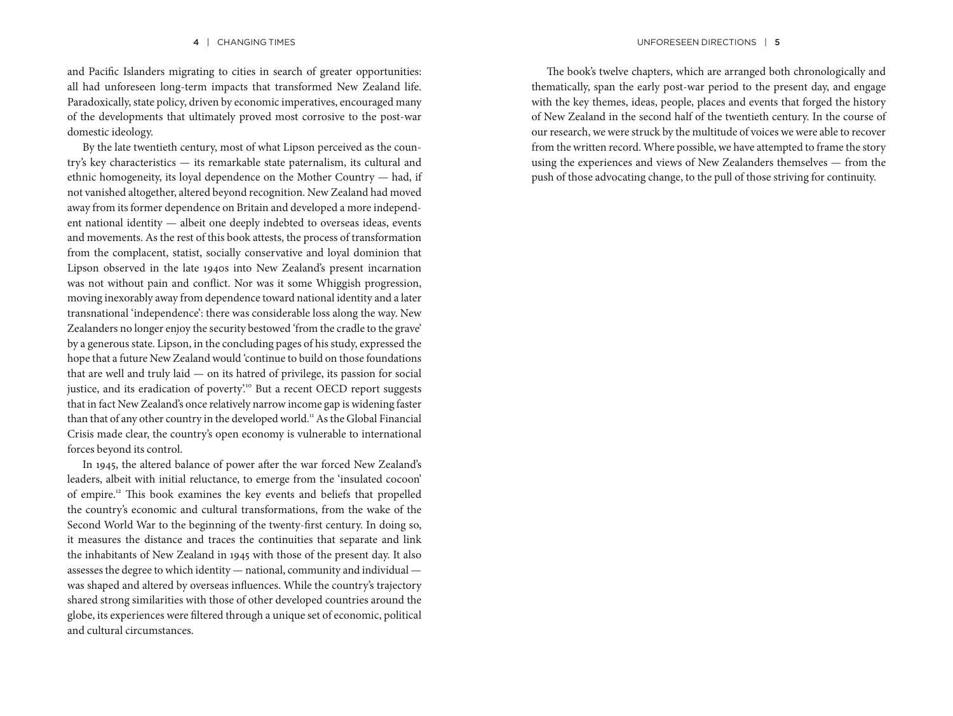and Pacific Islanders migrating to cities in search of greater opportunities: all had unforeseen long-term impacts that transformed New Zealand life. Paradoxically, state policy, driven by economic imperatives, encouraged many of the developments that ultimately proved most corrosive to the post-war domestic ideology.

By the late twentieth century, most of what Lipson perceived as the country's key characteristics — its remarkable state paternalism, its cultural and ethnic homogeneity, its loyal dependence on the Mother Country — had, if not vanished altogether, altered beyond recognition. New Zealand had moved away from its former dependence on Britain and developed a more independent national identity — albeit one deeply indebted to overseas ideas, events and movements. As the rest of this book attests, the process of transformation from the complacent, statist, socially conservative and loyal dominion that Lipson observed in the late 1940s into New Zealand's present incarnation was not without pain and conflict. Nor was it some Whiggish progression, moving inexorably away from dependence toward national identity and a later transnational 'independence': there was considerable loss along the way. New Zealanders no longer enjoy the security bestowed 'from the cradle to the grave' by a generous state. Lipson, in the concluding pages of his study, expressed the hope that a future New Zealand would 'continue to build on those foundations that are well and truly laid — on its hatred of privilege, its passion for social justice, and its eradication of poverty.<sup>10</sup> But a recent OECD report suggests that in fact New Zealand's once relatively narrow income gap is widening faster than that of any other country in the developed world.<sup>11</sup> As the Global Financial Crisis made clear, the country's open economy is vulnerable to international forces beyond its control.

In 1945, the altered balance of power after the war forced New Zealand's leaders, albeit with initial reluctance, to emerge from the 'insulated cocoon' of empire.12 This book examines the key events and beliefs that propelled the country's economic and cultural transformations, from the wake of the Second World War to the beginning of the twenty-first century. In doing so, it measures the distance and traces the continuities that separate and link the inhabitants of New Zealand in 1945 with those of the present day. It also assesses the degree to which identity — national, community and individual was shaped and altered by overseas influences. While the country's trajectory shared strong similarities with those of other developed countries around the globe, its experiences were filtered through a unique set of economic, political and cultural circumstances.

The book's twelve chapters, which are arranged both chronologically and thematically, span the early post-war period to the present day, and engage with the key themes, ideas, people, places and events that forged the history of New Zealand in the second half of the twentieth century. In the course of our research, we were struck by the multitude of voices we were able to recover from the written record. Where possible, we have attempted to frame the story using the experiences and views of New Zealanders themselves — from the push of those advocating change, to the pull of those striving for continuity.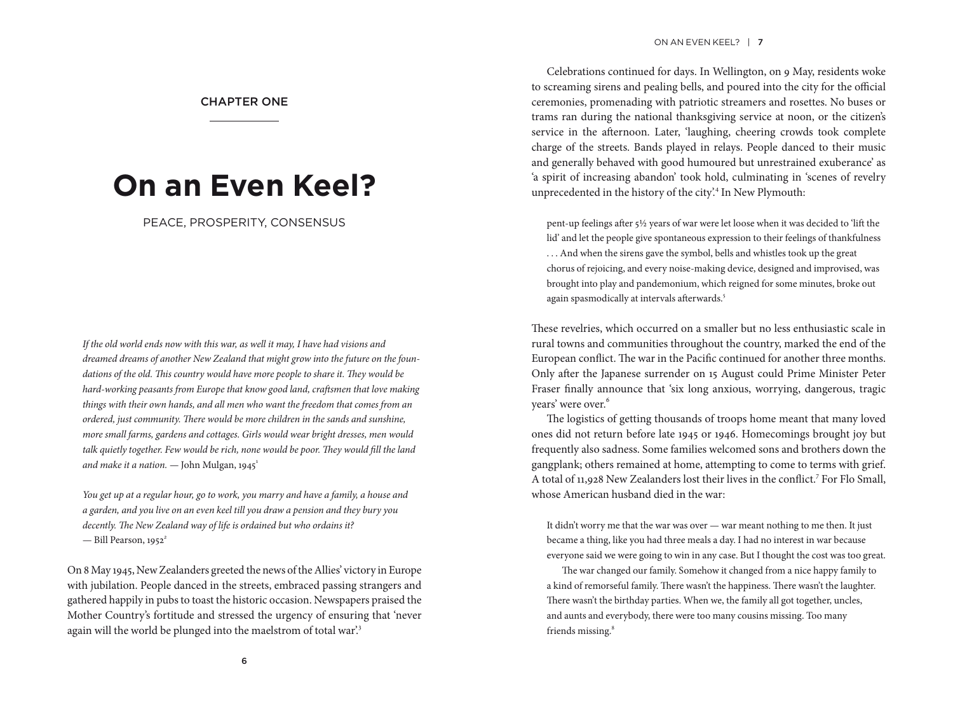#### CHAPTER ONE

## **On an Even Keel?**

PEACE, PROSPERITY, CONSENSUS

*If the old world ends now with this war, as well it may, I have had visions and dreamed dreams of another New Zealand that might grow into the future on the foundations of the old. This country would have more people to share it. They would be hard-working peasants from Europe that know good land, craftsmen that love making things with their own hands, and all men who want the freedom that comes from an ordered, just community. There would be more children in the sands and sunshine, more small farms, gardens and cottages. Girls would wear bright dresses, men would talk quietly together. Few would be rich, none would be poor. They would fill the land and make it a nation.* — John Mulgan, 1945<sup>1</sup>

*You get up at a regular hour, go to work, you marry and have a family, a house and a garden, and you live on an even keel till you draw a pension and they bury you decently. The New Zealand way of life is ordained but who ordains it?*  — Bill Pearson, 1952*<sup>2</sup>*

On 8 May 1945, New Zealanders greeted the news of the Allies' victory in Europe with jubilation. People danced in the streets, embraced passing strangers and gathered happily in pubs to toast the historic occasion. Newspapers praised the Mother Country's fortitude and stressed the urgency of ensuring that 'never again will the world be plunged into the maelstrom of total war.<sup>3</sup>

#### ON AN EVEN KEEL? | 7

Celebrations continued for days. In Wellington, on 9 May, residents woke to screaming sirens and pealing bells, and poured into the city for the official ceremonies, promenading with patriotic streamers and rosettes. No buses or trams ran during the national thanksgiving service at noon, or the citizen's service in the afternoon. Later, 'laughing, cheering crowds took complete charge of the streets. Bands played in relays. People danced to their music and generally behaved with good humoured but unrestrained exuberance' as 'a spirit of increasing abandon' took hold, culminating in 'scenes of revelry unprecedented in the history of the city'.<sup>4</sup> In New Plymouth:

pent-up feelings after 5½ years of war were let loose when it was decided to 'lift the lid' and let the people give spontaneous expression to their feelings of thankfulness . . . And when the sirens gave the symbol, bells and whistles took up the great chorus of rejoicing, and every noise-making device, designed and improvised, was brought into play and pandemonium, which reigned for some minutes, broke out again spasmodically at intervals afterwards.<sup>5</sup>

These revelries, which occurred on a smaller but no less enthusiastic scale in rural towns and communities throughout the country, marked the end of the European conflict. The war in the Pacific continued for another three months. Only after the Japanese surrender on 15 August could Prime Minister Peter Fraser finally announce that 'six long anxious, worrying, dangerous, tragic years' were over.<sup>6</sup>

The logistics of getting thousands of troops home meant that many loved ones did not return before late 1945 or 1946. Homecomings brought joy but frequently also sadness. Some families welcomed sons and brothers down the gangplank; others remained at home, attempting to come to terms with grief. A total of 11,928 New Zealanders lost their lives in the conflict.<sup>7</sup> For Flo Small, whose American husband died in the war:

It didn't worry me that the war was over — war meant nothing to me then. It just became a thing, like you had three meals a day. I had no interest in war because everyone said we were going to win in any case. But I thought the cost was too great.

The war changed our family. Somehow it changed from a nice happy family to a kind of remorseful family. There wasn't the happiness. There wasn't the laughter. There wasn't the birthday parties. When we, the family all got together, uncles, and aunts and everybody, there were too many cousins missing. Too many friends missing.<sup>8</sup>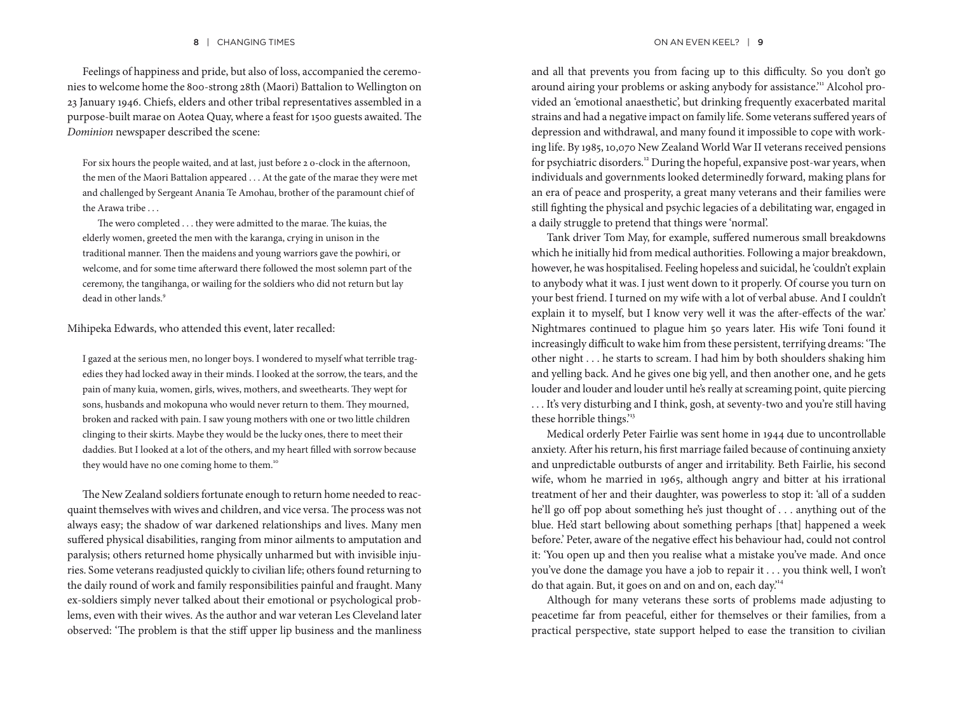#### 8 | CHANGING TIMES **ON AN EVEN KEEL?** | 9

Feelings of happiness and pride, but also of loss, accompanied the ceremonies to welcome home the 800-strong 28th (Maori) Battalion to Wellington on 23 January 1946. Chiefs, elders and other tribal representatives assembled in a purpose-built marae on Aotea Quay, where a feast for 1500 guests awaited. The *Dominion* newspaper described the scene:

For six hours the people waited, and at last, just before 2 o-clock in the afternoon, the men of the Maori Battalion appeared . . . At the gate of the marae they were met and challenged by Sergeant Anania Te Amohau, brother of the paramount chief of the Arawa tribe . . .

The wero completed . . . they were admitted to the marae. The kuias, the elderly women, greeted the men with the karanga, crying in unison in the traditional manner. Then the maidens and young warriors gave the powhiri, or welcome, and for some time afterward there followed the most solemn part of the ceremony, the tangihanga, or wailing for the soldiers who did not return but lay dead in other lands.<sup>9</sup>

#### Mihipeka Edwards, who attended this event, later recalled:

I gazed at the serious men, no longer boys. I wondered to myself what terrible tragedies they had locked away in their minds. I looked at the sorrow, the tears, and the pain of many kuia, women, girls, wives, mothers, and sweethearts. They wept for sons, husbands and mokopuna who would never return to them. They mourned, broken and racked with pain. I saw young mothers with one or two little children clinging to their skirts. Maybe they would be the lucky ones, there to meet their daddies. But I looked at a lot of the others, and my heart filled with sorrow because they would have no one coming home to them.<sup>10</sup>

The New Zealand soldiers fortunate enough to return home needed to reacquaint themselves with wives and children, and vice versa. The process was not always easy; the shadow of war darkened relationships and lives. Many men suffered physical disabilities, ranging from minor ailments to amputation and paralysis; others returned home physically unharmed but with invisible injuries. Some veterans readjusted quickly to civilian life; others found returning to the daily round of work and family responsibilities painful and fraught. Many ex-soldiers simply never talked about their emotional or psychological problems, even with their wives. As the author and war veteran Les Cleveland later observed: 'The problem is that the stiff upper lip business and the manliness and all that prevents you from facing up to this difficulty. So you don't go around airing your problems or asking anybody for assistance." Alcohol provided an 'emotional anaesthetic', but drinking frequently exacerbated marital strains and had a negative impact on family life. Some veterans suffered years of depression and withdrawal, and many found it impossible to cope with working life. By 1985, 10,070 New Zealand World War II veterans received pensions for psychiatric disorders.12 During the hopeful, expansive post-war years, when individuals and governments looked determinedly forward, making plans for an era of peace and prosperity, a great many veterans and their families were still fighting the physical and psychic legacies of a debilitating war, engaged in a daily struggle to pretend that things were 'normal'.

Tank driver Tom May, for example, suffered numerous small breakdowns which he initially hid from medical authorities. Following a major breakdown, however, he was hospitalised. Feeling hopeless and suicidal, he 'couldn't explain to anybody what it was. I just went down to it properly. Of course you turn on your best friend. I turned on my wife with a lot of verbal abuse. And I couldn't explain it to myself, but I know very well it was the after-effects of the war.' Nightmares continued to plague him 50 years later. His wife Toni found it increasingly difficult to wake him from these persistent, terrifying dreams: 'The other night . . . he starts to scream. I had him by both shoulders shaking him and yelling back. And he gives one big yell, and then another one, and he gets louder and louder and louder until he's really at screaming point, quite piercing . . . It's very disturbing and I think, gosh, at seventy-two and you're still having these horrible things."3

Medical orderly Peter Fairlie was sent home in 1944 due to uncontrollable anxiety. After his return, his first marriage failed because of continuing anxiety and unpredictable outbursts of anger and irritability. Beth Fairlie, his second wife, whom he married in 1965, although angry and bitter at his irrational treatment of her and their daughter, was powerless to stop it: 'all of a sudden he'll go off pop about something he's just thought of . . . anything out of the blue. He'd start bellowing about something perhaps [that] happened a week before.' Peter, aware of the negative effect his behaviour had, could not control it: 'You open up and then you realise what a mistake you've made. And once you've done the damage you have a job to repair it . . . you think well, I won't do that again. But, it goes on and on and on, each day.'<sup>14</sup>

Although for many veterans these sorts of problems made adjusting to peacetime far from peaceful, either for themselves or their families, from a practical perspective, state support helped to ease the transition to civilian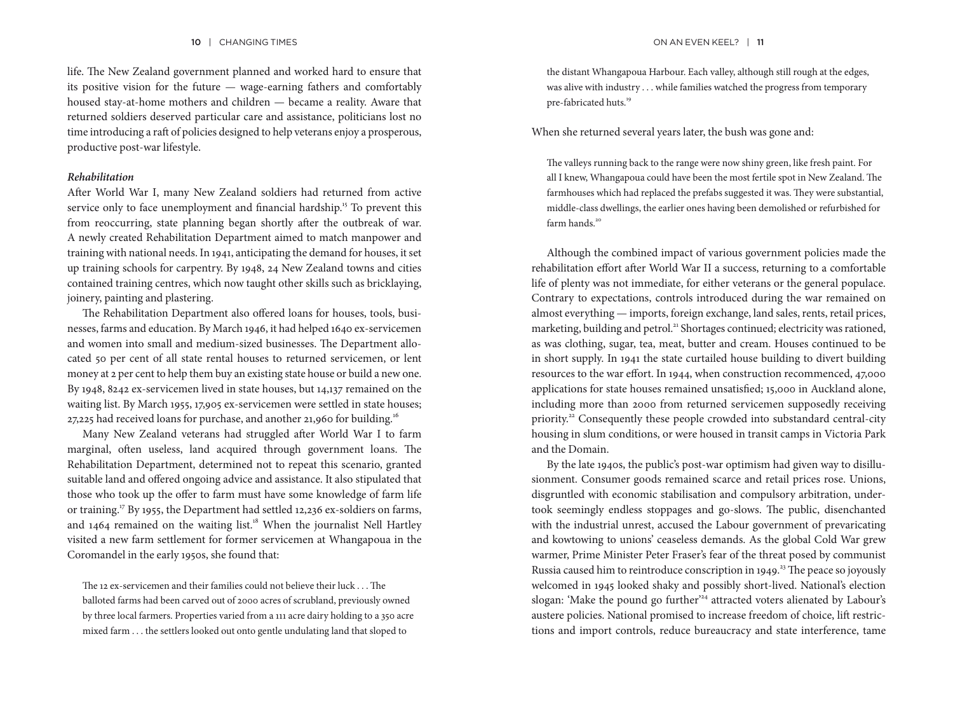life. The New Zealand government planned and worked hard to ensure that its positive vision for the future — wage-earning fathers and comfortably housed stay-at-home mothers and children — became a reality. Aware that returned soldiers deserved particular care and assistance, politicians lost no time introducing a raft of policies designed to help veterans enjoy a prosperous, productive post-war lifestyle.

#### *Rehabilitation*

After World War I, many New Zealand soldiers had returned from active service only to face unemployment and financial hardship.<sup>15</sup> To prevent this from reoccurring, state planning began shortly after the outbreak of war. A newly created Rehabilitation Department aimed to match manpower and training with national needs. In 1941, anticipating the demand for houses, it set up training schools for carpentry. By 1948, 24 New Zealand towns and cities contained training centres, which now taught other skills such as bricklaying, joinery, painting and plastering.

The Rehabilitation Department also offered loans for houses, tools, businesses, farms and education. By March 1946, it had helped 1640 ex-servicemen and women into small and medium-sized businesses. The Department allocated 50 per cent of all state rental houses to returned servicemen, or lent money at 2 per cent to help them buy an existing state house or build a new one. By 1948, 8242 ex-servicemen lived in state houses, but 14,137 remained on the waiting list. By March 1955, 17,905 ex-servicemen were settled in state houses; 27,225 had received loans for purchase, and another 21,960 for building.<sup>16</sup>

Many New Zealand veterans had struggled after World War I to farm marginal, often useless, land acquired through government loans. The Rehabilitation Department, determined not to repeat this scenario, granted suitable land and offered ongoing advice and assistance. It also stipulated that those who took up the offer to farm must have some knowledge of farm life or training.17 By 1955, the Department had settled 12,236 ex-soldiers on farms, and 1464 remained on the waiting list.<sup>18</sup> When the journalist Nell Hartley visited a new farm settlement for former servicemen at Whangapoua in the Coromandel in the early 1950s, she found that:

The 12 ex-servicemen and their families could not believe their luck . . . The balloted farms had been carved out of 2000 acres of scrubland, previously owned by three local farmers. Properties varied from a 111 acre dairy holding to a 350 acre mixed farm . . . the settlers looked out onto gentle undulating land that sloped to

the distant Whangapoua Harbour. Each valley, although still rough at the edges, was alive with industry . . . while families watched the progress from temporary pre-fabricated huts.<sup>19</sup>

When she returned several years later, the bush was gone and:

The valleys running back to the range were now shiny green, like fresh paint. For all I knew, Whangapoua could have been the most fertile spot in New Zealand. The farmhouses which had replaced the prefabs suggested it was. They were substantial, middle-class dwellings, the earlier ones having been demolished or refurbished for farm hands.<sup>20</sup>

Although the combined impact of various government policies made the rehabilitation effort after World War II a success, returning to a comfortable life of plenty was not immediate, for either veterans or the general populace. Contrary to expectations, controls introduced during the war remained on almost everything — imports, foreign exchange, land sales, rents, retail prices, marketing, building and petrol.<sup>21</sup> Shortages continued; electricity was rationed, as was clothing, sugar, tea, meat, butter and cream. Houses continued to be in short supply. In 1941 the state curtailed house building to divert building resources to the war effort. In 1944, when construction recommenced, 47,000 applications for state houses remained unsatisfied; 15,000 in Auckland alone, including more than 2000 from returned servicemen supposedly receiving priority.<sup>22</sup> Consequently these people crowded into substandard central-city housing in slum conditions, or were housed in transit camps in Victoria Park and the Domain.

By the late 1940s, the public's post-war optimism had given way to disillusionment. Consumer goods remained scarce and retail prices rose. Unions, disgruntled with economic stabilisation and compulsory arbitration, undertook seemingly endless stoppages and go-slows. The public, disenchanted with the industrial unrest, accused the Labour government of prevaricating and kowtowing to unions' ceaseless demands. As the global Cold War grew warmer, Prime Minister Peter Fraser's fear of the threat posed by communist Russia caused him to reintroduce conscription in 1949.<sup>23</sup> The peace so joyously welcomed in 1945 looked shaky and possibly short-lived. National's election slogan: 'Make the pound go further'<sup>24</sup> attracted voters alienated by Labour's austere policies. National promised to increase freedom of choice, lift restrictions and import controls, reduce bureaucracy and state interference, tame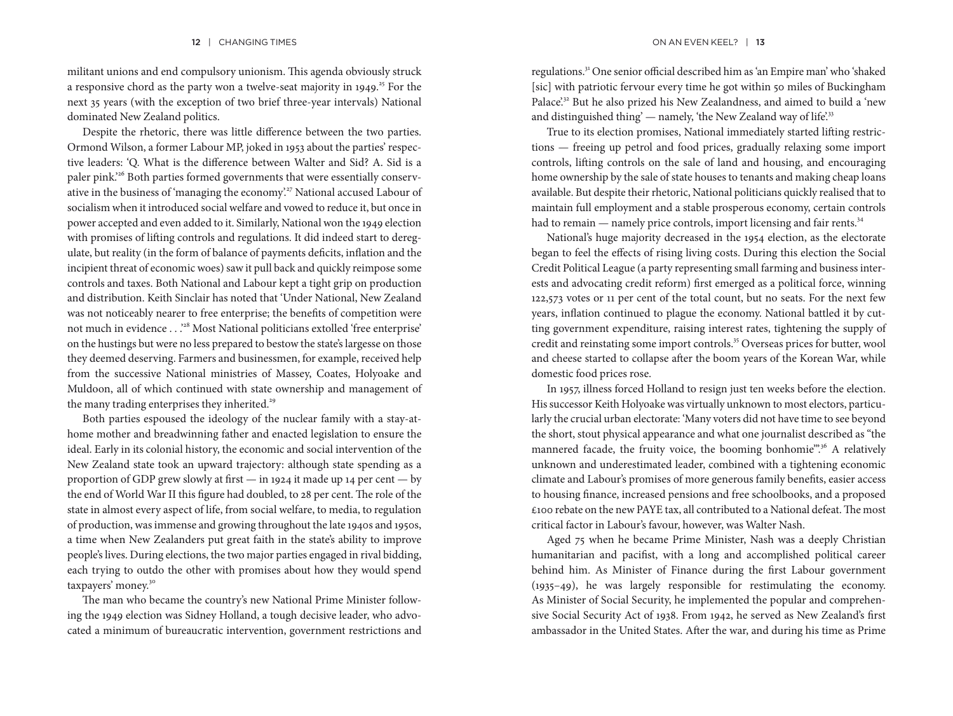militant unions and end compulsory unionism. This agenda obviously struck a responsive chord as the party won a twelve-seat majority in  $1949$ .<sup>25</sup> For the next 35 years (with the exception of two brief three-year intervals) National dominated New Zealand politics.

Despite the rhetoric, there was little difference between the two parties. Ormond Wilson, a former Labour MP, joked in 1953 about the parties' respective leaders: 'Q. What is the difference between Walter and Sid? A. Sid is a paler pink.'26 Both parties formed governments that were essentially conservative in the business of 'managing the economy'.27 National accused Labour of socialism when it introduced social welfare and vowed to reduce it, but once in power accepted and even added to it. Similarly, National won the 1949 election with promises of lifting controls and regulations. It did indeed start to deregulate, but reality (in the form of balance of payments deficits, inflation and the incipient threat of economic woes) saw it pull back and quickly reimpose some controls and taxes. Both National and Labour kept a tight grip on production and distribution. Keith Sinclair has noted that 'Under National, New Zealand was not noticeably nearer to free enterprise; the benefits of competition were not much in evidence . . .'28 Most National politicians extolled 'free enterprise' on the hustings but were no less prepared to bestow the state's largesse on those they deemed deserving. Farmers and businessmen, for example, received help from the successive National ministries of Massey, Coates, Holyoake and Muldoon, all of which continued with state ownership and management of the many trading enterprises they inherited.<sup>29</sup>

Both parties espoused the ideology of the nuclear family with a stay-athome mother and breadwinning father and enacted legislation to ensure the ideal. Early in its colonial history, the economic and social intervention of the New Zealand state took an upward trajectory: although state spending as a proportion of GDP grew slowly at first — in 1924 it made up 14 per cent — by the end of World War II this figure had doubled, to 28 per cent. The role of the state in almost every aspect of life, from social welfare, to media, to regulation of production, was immense and growing throughout the late 1940s and 1950s, a time when New Zealanders put great faith in the state's ability to improve people's lives. During elections, the two major parties engaged in rival bidding, each trying to outdo the other with promises about how they would spend taxpayers' money.<sup>30</sup>

The man who became the country's new National Prime Minister following the 1949 election was Sidney Holland, a tough decisive leader, who advocated a minimum of bureaucratic intervention, government restrictions and

regulations.<sup>31</sup> One senior official described him as 'an Empire man' who 'shaked [sic] with patriotic fervour every time he got within 50 miles of Buckingham Palace<sup>'32</sup> But he also prized his New Zealandness, and aimed to build a 'new and distinguished thing'  $-$  namely, 'the New Zealand way of life.<sup>33</sup>

True to its election promises, National immediately started lifting restrictions — freeing up petrol and food prices, gradually relaxing some import controls, lifting controls on the sale of land and housing, and encouraging home ownership by the sale of state houses to tenants and making cheap loans available. But despite their rhetoric, National politicians quickly realised that to maintain full employment and a stable prosperous economy, certain controls had to remain — namely price controls, import licensing and fair rents.<sup>34</sup>

National's huge majority decreased in the 1954 election, as the electorate began to feel the effects of rising living costs. During this election the Social Credit Political League (a party representing small farming and business interests and advocating credit reform) first emerged as a political force, winning 122,573 votes or 11 per cent of the total count, but no seats. For the next few years, inflation continued to plague the economy. National battled it by cutting government expenditure, raising interest rates, tightening the supply of credit and reinstating some import controls.<sup>35</sup> Overseas prices for butter, wool and cheese started to collapse after the boom years of the Korean War, while domestic food prices rose.

In 1957, illness forced Holland to resign just ten weeks before the election. His successor Keith Holyoake was virtually unknown to most electors, particularly the crucial urban electorate: 'Many voters did not have time to see beyond the short, stout physical appearance and what one journalist described as "the mannered facade, the fruity voice, the booming bonhomie".<sup>36</sup> A relatively unknown and underestimated leader, combined with a tightening economic climate and Labour's promises of more generous family benefits, easier access to housing finance, increased pensions and free schoolbooks, and a proposed £100 rebate on the new PAYE tax, all contributed to a National defeat. The most critical factor in Labour's favour, however, was Walter Nash.

Aged 75 when he became Prime Minister, Nash was a deeply Christian humanitarian and pacifist, with a long and accomplished political career behind him. As Minister of Finance during the first Labour government (1935–49), he was largely responsible for restimulating the economy. As Minister of Social Security, he implemented the popular and comprehensive Social Security Act of 1938. From 1942, he served as New Zealand's first ambassador in the United States. After the war, and during his time as Prime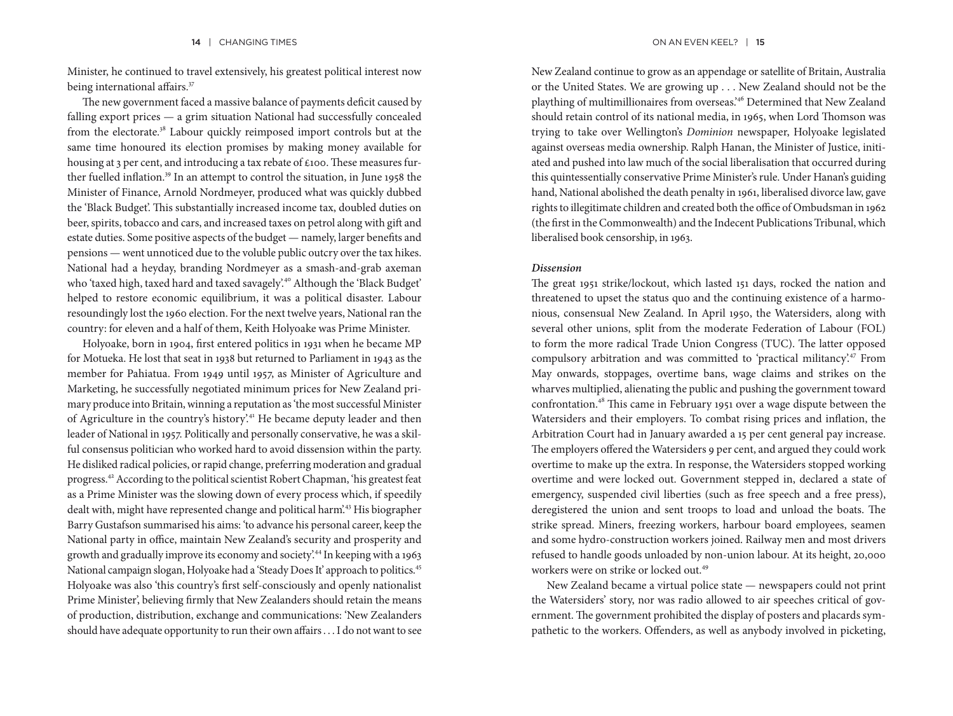Minister, he continued to travel extensively, his greatest political interest now being international affairs.<sup>37</sup>

The new government faced a massive balance of payments deficit caused by falling export prices — a grim situation National had successfully concealed from the electorate.38 Labour quickly reimposed import controls but at the same time honoured its election promises by making money available for housing at 3 per cent, and introducing a tax rebate of £100. These measures further fuelled inflation.<sup>39</sup> In an attempt to control the situation, in June 1958 the Minister of Finance, Arnold Nordmeyer, produced what was quickly dubbed the 'Black Budget'. This substantially increased income tax, doubled duties on beer, spirits, tobacco and cars, and increased taxes on petrol along with gift and estate duties. Some positive aspects of the budget — namely, larger benefits and pensions — went unnoticed due to the voluble public outcry over the tax hikes. National had a heyday, branding Nordmeyer as a smash-and-grab axeman who 'taxed high, taxed hard and taxed savagely'.<sup>40</sup> Although the 'Black Budget' helped to restore economic equilibrium, it was a political disaster. Labour resoundingly lost the 1960 election. For the next twelve years, National ran the country: for eleven and a half of them, Keith Holyoake was Prime Minister.

Holyoake, born in 1904, first entered politics in 1931 when he became MP for Motueka. He lost that seat in 1938 but returned to Parliament in 1943 as the member for Pahiatua. From 1949 until 1957, as Minister of Agriculture and Marketing, he successfully negotiated minimum prices for New Zealand primary produce into Britain, winning a reputation as'the most successful Minister of Agriculture in the country's history'.<sup>41</sup> He became deputy leader and then leader of National in 1957. Politically and personally conservative, he was a skilful consensus politician who worked hard to avoid dissension within the party. He disliked radical policies, or rapid change, preferring moderation and gradual progress.42 According to the political scientist Robert Chapman, 'his greatest feat as a Prime Minister was the slowing down of every process which, if speedily dealt with, might have represented change and political harm'.43 His biographer Barry Gustafson summarised his aims: 'to advance his personal career, keep the National party in office, maintain New Zealand's security and prosperity and growth and gradually improve its economy and society'.44 In keeping with a 1963 National campaign slogan, Holyoake had a 'Steady Does It' approach to politics.45 Holyoake was also 'this country's first self-consciously and openly nationalist Prime Minister', believing firmly that New Zealanders should retain the means of production, distribution, exchange and communications: 'New Zealanders should have adequate opportunity to run their own affairs . . . I do not want to see New Zealand continue to grow as an appendage or satellite of Britain, Australia or the United States. We are growing up . . . New Zealand should not be the plaything of multimillionaires from overseas.'46 Determined that New Zealand should retain control of its national media, in 1965, when Lord Thomson was trying to take over Wellington's *Dominion* newspaper, Holyoake legislated against overseas media ownership. Ralph Hanan, the Minister of Justice, initiated and pushed into law much of the social liberalisation that occurred during this quintessentially conservative Prime Minister's rule. Under Hanan's guiding hand, National abolished the death penalty in 1961, liberalised divorce law, gave rights to illegitimate children and created both the office of Ombudsman in 1962 (the first in the Commonwealth) and the Indecent Publications Tribunal, which liberalised book censorship, in 1963.

#### *Dissension*

The great 1951 strike/lockout, which lasted 151 days, rocked the nation and threatened to upset the status quo and the continuing existence of a harmonious, consensual New Zealand. In April 1950, the Watersiders, along with several other unions, split from the moderate Federation of Labour (FOL) to form the more radical Trade Union Congress (TUC). The latter opposed compulsory arbitration and was committed to 'practical militancy'.47 From May onwards, stoppages, overtime bans, wage claims and strikes on the wharves multiplied, alienating the public and pushing the government toward confrontation.48 This came in February 1951 over a wage dispute between the Watersiders and their employers. To combat rising prices and inflation, the Arbitration Court had in January awarded a 15 per cent general pay increase. The employers offered the Watersiders 9 per cent, and argued they could work overtime to make up the extra. In response, the Watersiders stopped working overtime and were locked out. Government stepped in, declared a state of emergency, suspended civil liberties (such as free speech and a free press), deregistered the union and sent troops to load and unload the boats. The strike spread. Miners, freezing workers, harbour board employees, seamen and some hydro-construction workers joined. Railway men and most drivers refused to handle goods unloaded by non-union labour. At its height, 20,000 workers were on strike or locked out.<sup>49</sup>

New Zealand became a virtual police state — newspapers could not print the Watersiders' story, nor was radio allowed to air speeches critical of government. The government prohibited the display of posters and placards sympathetic to the workers. Offenders, as well as anybody involved in picketing,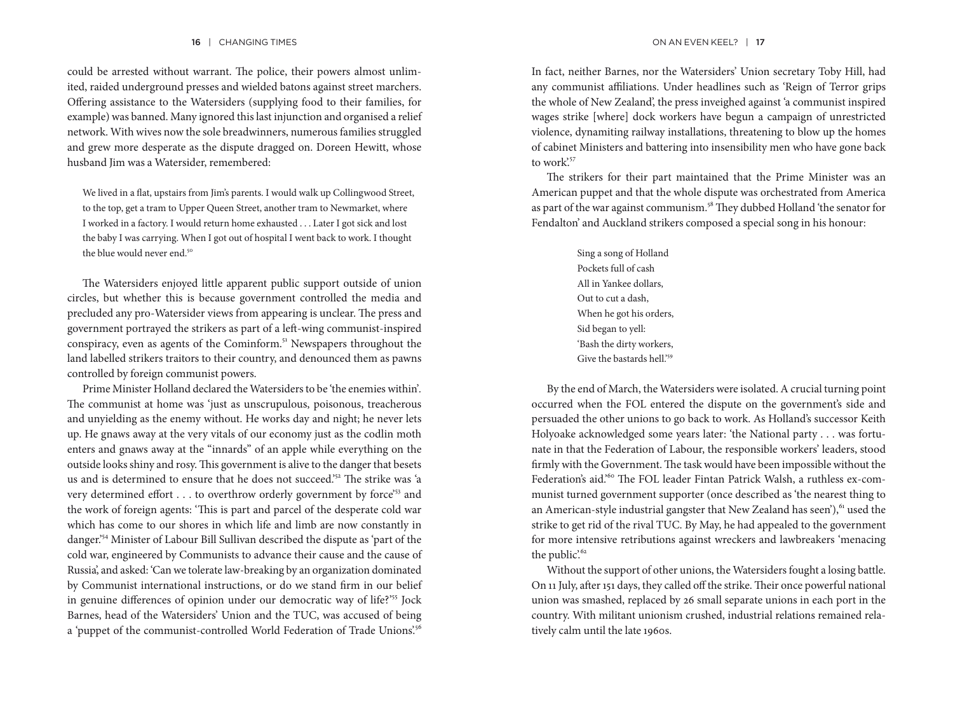could be arrested without warrant. The police, their powers almost unlimited, raided underground presses and wielded batons against street marchers. Offering assistance to the Watersiders (supplying food to their families, for example) was banned. Many ignored this last injunction and organised a relief network. With wives now the sole breadwinners, numerous families struggled and grew more desperate as the dispute dragged on. Doreen Hewitt, whose husband Jim was a Watersider, remembered:

We lived in a flat, upstairs from Jim's parents. I would walk up Collingwood Street, to the top, get a tram to Upper Queen Street, another tram to Newmarket, where I worked in a factory. I would return home exhausted . . . Later I got sick and lost the baby I was carrying. When I got out of hospital I went back to work. I thought the blue would never end.<sup>50</sup>

The Watersiders enjoyed little apparent public support outside of union circles, but whether this is because government controlled the media and precluded any pro-Watersider views from appearing is unclear. The press and government portrayed the strikers as part of a left-wing communist-inspired conspiracy, even as agents of the Cominform.<sup>51</sup> Newspapers throughout the land labelled strikers traitors to their country, and denounced them as pawns controlled by foreign communist powers.

Prime Minister Holland declared the Watersiders to be 'the enemies within'*.* The communist at home was 'just as unscrupulous, poisonous, treacherous and unyielding as the enemy without. He works day and night; he never lets up. He gnaws away at the very vitals of our economy just as the codlin moth enters and gnaws away at the "innards" of an apple while everything on the outside looks shiny and rosy. This government is alive to the danger that besets us and is determined to ensure that he does not succeed.'<sup>52</sup> The strike was 'a very determined effort . . . to overthrow orderly government by force'53 and the work of foreign agents: 'This is part and parcel of the desperate cold war which has come to our shores in which life and limb are now constantly in danger.'54 Minister of Labour Bill Sullivan described the dispute as 'part of the cold war, engineered by Communists to advance their cause and the cause of Russia', and asked: 'Can we tolerate law-breaking by an organization dominated by Communist international instructions, or do we stand firm in our belief in genuine differences of opinion under our democratic way of life?'<sup>55</sup> Jock Barnes, head of the Watersiders' Union and the TUC, was accused of being a 'puppet of the communist-controlled World Federation of Trade Unions.<sup>56</sup>

In fact, neither Barnes, nor the Watersiders' Union secretary Toby Hill, had any communist affiliations. Under headlines such as 'Reign of Terror grips the whole of New Zealand', the press inveighed against 'a communist inspired wages strike [where] dock workers have begun a campaign of unrestricted violence, dynamiting railway installations, threatening to blow up the homes of cabinet Ministers and battering into insensibility men who have gone back to work<sup>'57</sup>

The strikers for their part maintained that the Prime Minister was an American puppet and that the whole dispute was orchestrated from America as part of the war against communism.<sup>58</sup> They dubbed Holland 'the senator for Fendalton' and Auckland strikers composed a special song in his honour:

> Sing a song of Holland Pockets full of cash All in Yankee dollars, Out to cut a dash, When he got his orders, Sid began to yell: 'Bash the dirty workers, Give the bastards hell.'<sup>59</sup>

By the end of March, the Watersiders were isolated. A crucial turning point occurred when the FOL entered the dispute on the government's side and persuaded the other unions to go back to work. As Holland's successor Keith Holyoake acknowledged some years later: 'the National party . . . was fortunate in that the Federation of Labour, the responsible workers' leaders, stood firmly with the Government. The task would have been impossible without the Federation's aid.<sup>60</sup> The FOL leader Fintan Patrick Walsh, a ruthless ex-communist turned government supporter (once described as 'the nearest thing to an American-style industrial gangster that New Zealand has seen'),<sup>61</sup> used the strike to get rid of the rival TUC. By May, he had appealed to the government for more intensive retributions against wreckers and lawbreakers 'menacing the public'.<sup>62</sup>

Without the support of other unions, the Watersiders fought a losing battle. On 11 July, after 151 days, they called off the strike. Their once powerful national union was smashed, replaced by 26 small separate unions in each port in the country. With militant unionism crushed, industrial relations remained relatively calm until the late 1960s.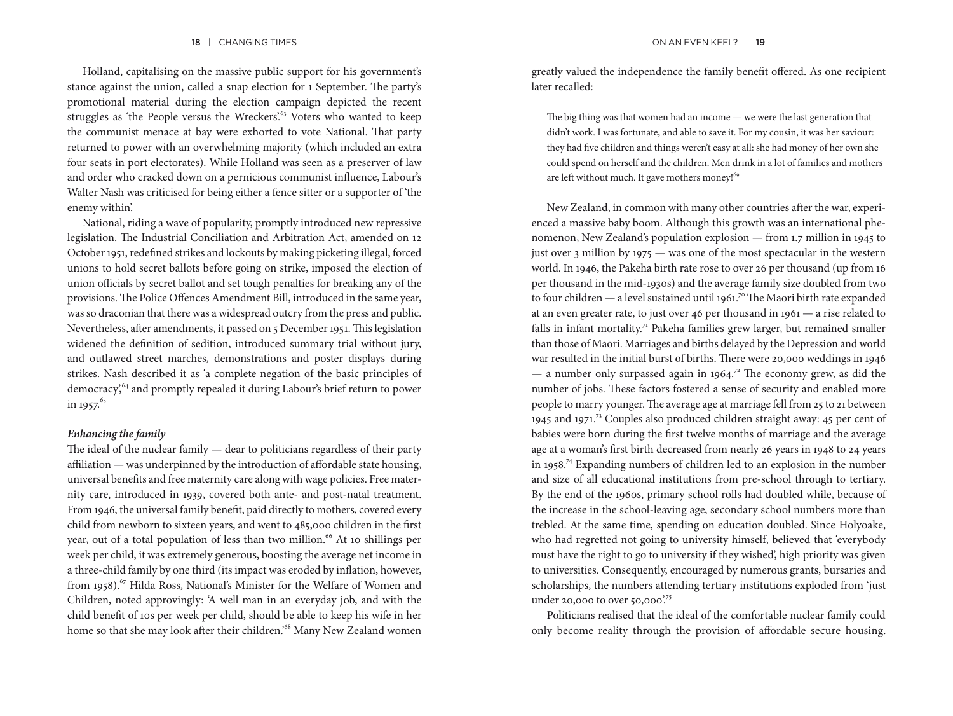Holland, capitalising on the massive public support for his government's stance against the union, called a snap election for 1 September. The party's promotional material during the election campaign depicted the recent struggles as 'the People versus the Wreckers'.<sup>63</sup> Voters who wanted to keep the communist menace at bay were exhorted to vote National. That party returned to power with an overwhelming majority (which included an extra four seats in port electorates). While Holland was seen as a preserver of law and order who cracked down on a pernicious communist influence, Labour's Walter Nash was criticised for being either a fence sitter or a supporter of 'the enemy within'.

National, riding a wave of popularity, promptly introduced new repressive legislation. The Industrial Conciliation and Arbitration Act, amended on 12 October 1951, redefined strikes and lockouts by making picketing illegal, forced unions to hold secret ballots before going on strike, imposed the election of union officials by secret ballot and set tough penalties for breaking any of the provisions. The Police Offences Amendment Bill, introduced in the same year, was so draconian that there was a widespread outcry from the press and public. Nevertheless, after amendments, it passed on 5 December 1951. This legislation widened the definition of sedition, introduced summary trial without jury, and outlawed street marches, demonstrations and poster displays during strikes. Nash described it as 'a complete negation of the basic principles of democracy,<sup>64</sup> and promptly repealed it during Labour's brief return to power in 1957. $65$ 

#### *Enhancing the family*

The ideal of the nuclear family — dear to politicians regardless of their party affiliation — was underpinned by the introduction of affordable state housing, universal benefits and free maternity care along with wage policies. Free maternity care, introduced in 1939, covered both ante- and post-natal treatment. From 1946, the universal family benefit, paid directly to mothers, covered every child from newborn to sixteen years, and went to 485,000 children in the first year, out of a total population of less than two million.<sup>66</sup> At 10 shillings per week per child, it was extremely generous, boosting the average net income in a three-child family by one third (its impact was eroded by inflation, however, from 1958).<sup>67</sup> Hilda Ross, National's Minister for the Welfare of Women and Children, noted approvingly: 'A well man in an everyday job, and with the child benefit of 10s per week per child, should be able to keep his wife in her home so that she may look after their children.<sup>68</sup> Many New Zealand women greatly valued the independence the family benefit offered. As one recipient later recalled:

The big thing was that women had an income — we were the last generation that didn't work. I was fortunate, and able to save it. For my cousin, it was her saviour: they had five children and things weren't easy at all: she had money of her own she could spend on herself and the children. Men drink in a lot of families and mothers are left without much. It gave mothers money!<sup>69</sup>

New Zealand, in common with many other countries after the war, experienced a massive baby boom. Although this growth was an international phenomenon, New Zealand's population explosion — from 1.7 million in 1945 to just over 3 million by 1975 — was one of the most spectacular in the western world. In 1946, the Pakeha birth rate rose to over 26 per thousand (up from 16 per thousand in the mid-1930s) and the average family size doubled from two to four children — a level sustained until 1961.<sup>70</sup> The Maori birth rate expanded at an even greater rate, to just over 46 per thousand in 1961 — a rise related to falls in infant mortality.<sup>71</sup> Pakeha families grew larger, but remained smaller than those of Maori. Marriages and births delayed by the Depression and world war resulted in the initial burst of births. There were 20,000 weddings in 1946 — a number only surpassed again in 1964.<sup>72</sup> The economy grew, as did the number of jobs. These factors fostered a sense of security and enabled more people to marry younger. The average age at marriage fell from 25 to 21 between 1945 and 1971.73 Couples also produced children straight away: 45 per cent of babies were born during the first twelve months of marriage and the average age at a woman's first birth decreased from nearly 26 years in 1948 to 24 years in 1958.74 Expanding numbers of children led to an explosion in the number and size of all educational institutions from pre-school through to tertiary. By the end of the 1960s, primary school rolls had doubled while, because of the increase in the school-leaving age, secondary school numbers more than trebled. At the same time, spending on education doubled. Since Holyoake, who had regretted not going to university himself, believed that 'everybody must have the right to go to university if they wished', high priority was given to universities. Consequently, encouraged by numerous grants, bursaries and scholarships, the numbers attending tertiary institutions exploded from 'just under 20,000 to over 50,000.<sup>75</sup>

Politicians realised that the ideal of the comfortable nuclear family could only become reality through the provision of affordable secure housing.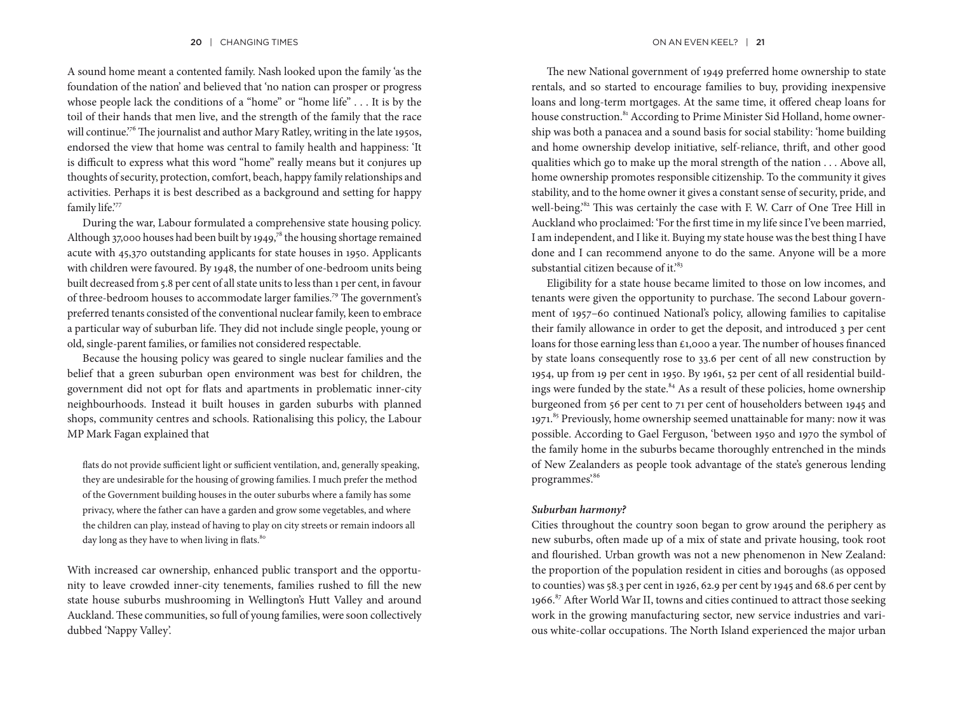A sound home meant a contented family. Nash looked upon the family 'as the foundation of the nation' and believed that 'no nation can prosper or progress whose people lack the conditions of a "home" or "home life" . . . It is by the toil of their hands that men live, and the strength of the family that the race will continue.<sup>76</sup> The journalist and author Mary Ratley, writing in the late 1950s, endorsed the view that home was central to family health and happiness: 'It is difficult to express what this word "home" really means but it conjures up thoughts of security, protection, comfort, beach, happy family relationships and activities. Perhaps it is best described as a background and setting for happy family life."77

During the war, Labour formulated a comprehensive state housing policy. Although 37,000 houses had been built by 1949,<sup>78</sup> the housing shortage remained acute with 45,370 outstanding applicants for state houses in 1950. Applicants with children were favoured. By 1948, the number of one-bedroom units being built decreased from 5.8 per cent of all state units to less than 1 per cent, in favour of three-bedroom houses to accommodate larger families.79 The government's preferred tenants consisted of the conventional nuclear family, keen to embrace a particular way of suburban life. They did not include single people, young or old, single-parent families, or families not considered respectable.

Because the housing policy was geared to single nuclear families and the belief that a green suburban open environment was best for children, the government did not opt for flats and apartments in problematic inner-city neighbourhoods. Instead it built houses in garden suburbs with planned shops, community centres and schools. Rationalising this policy, the Labour MP Mark Fagan explained that

flats do not provide sufficient light or sufficient ventilation, and, generally speaking, they are undesirable for the housing of growing families. I much prefer the method of the Government building houses in the outer suburbs where a family has some privacy, where the father can have a garden and grow some vegetables, and where the children can play, instead of having to play on city streets or remain indoors all day long as they have to when living in flats.<sup>80</sup>

With increased car ownership, enhanced public transport and the opportunity to leave crowded inner-city tenements, families rushed to fill the new state house suburbs mushrooming in Wellington's Hutt Valley and around Auckland. These communities, so full of young families, were soon collectively dubbed 'Nappy Valley'.

The new National government of 1949 preferred home ownership to state rentals, and so started to encourage families to buy, providing inexpensive loans and long-term mortgages. At the same time, it offered cheap loans for house construction.<sup>81</sup> According to Prime Minister Sid Holland, home ownership was both a panacea and a sound basis for social stability: 'home building and home ownership develop initiative, self-reliance, thrift, and other good qualities which go to make up the moral strength of the nation . . . Above all, home ownership promotes responsible citizenship. To the community it gives stability, and to the home owner it gives a constant sense of security, pride, and well-being.<sup>82</sup> This was certainly the case with F. W. Carr of One Tree Hill in Auckland who proclaimed: 'For the first time in my life since I've been married, I am independent, and I like it. Buying my state house was the best thing I have done and I can recommend anyone to do the same. Anyone will be a more substantial citizen because of it.<sup>83</sup>

Eligibility for a state house became limited to those on low incomes, and tenants were given the opportunity to purchase. The second Labour government of 1957–60 continued National's policy, allowing families to capitalise their family allowance in order to get the deposit, and introduced 3 per cent loans for those earning less than £1,000 a year. The number of houses financed by state loans consequently rose to 33.6 per cent of all new construction by 1954, up from 19 per cent in 1950. By 1961, 52 per cent of all residential buildings were funded by the state.<sup>84</sup> As a result of these policies, home ownership burgeoned from 56 per cent to 71 per cent of householders between 1945 and 1971.<sup>85</sup> Previously, home ownership seemed unattainable for many: now it was possible. According to Gael Ferguson, 'between 1950 and 1970 the symbol of the family home in the suburbs became thoroughly entrenched in the minds of New Zealanders as people took advantage of the state's generous lending programmes'.86

### *Suburban harmony?*

Cities throughout the country soon began to grow around the periphery as new suburbs, often made up of a mix of state and private housing, took root and flourished. Urban growth was not a new phenomenon in New Zealand: the proportion of the population resident in cities and boroughs (as opposed to counties) was 58.3 per cent in 1926, 62.9 per cent by 1945 and 68.6 per cent by 1966.<sup>87</sup> After World War II, towns and cities continued to attract those seeking work in the growing manufacturing sector, new service industries and various white-collar occupations. The North Island experienced the major urban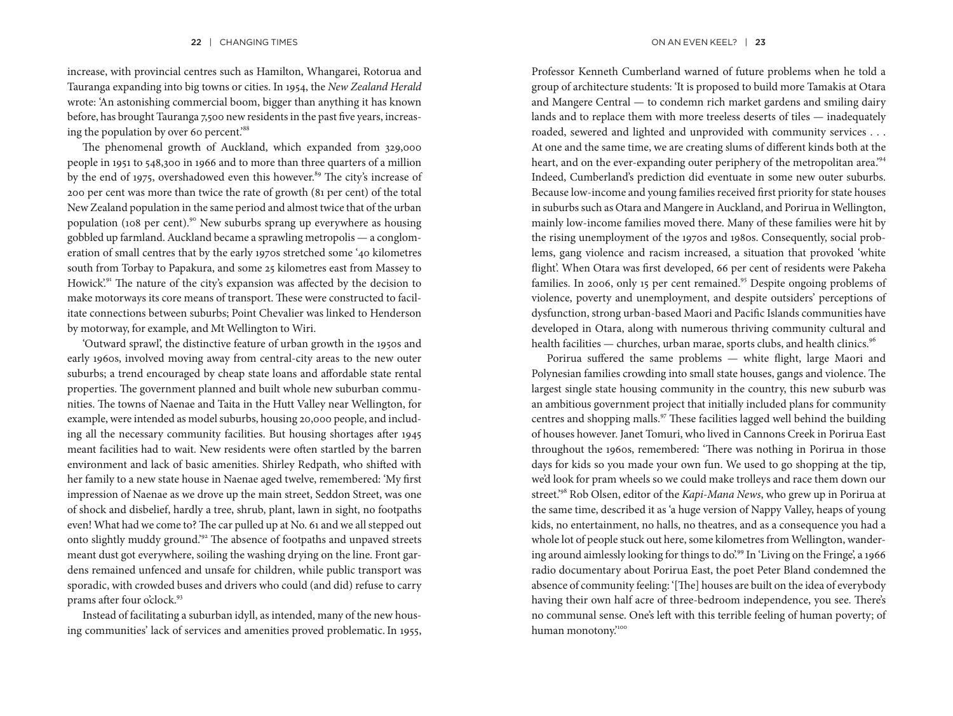increase, with provincial centres such as Hamilton, Whangarei, Rotorua and Tauranga expanding into big towns or cities. In 1954, the *New Zealand Herald* wrote: 'An astonishing commercial boom, bigger than anything it has known before, has brought Tauranga 7,500 new residents in the past five years, increasing the population by over 60 percent.<sup>88</sup>

The phenomenal growth of Auckland, which expanded from 329,000 people in 1951 to 548,300 in 1966 and to more than three quarters of a million by the end of 1975, overshadowed even this however.<sup>89</sup> The city's increase of 200 per cent was more than twice the rate of growth (81 per cent) of the total New Zealand population in the same period and almost twice that of the urban population (108 per cent).90 New suburbs sprang up everywhere as housing gobbled up farmland. Auckland became a sprawling metropolis — a conglomeration of small centres that by the early 1970s stretched some '40 kilometres south from Torbay to Papakura, and some 25 kilometres east from Massey to Howick'.<sup>91</sup> The nature of the city's expansion was affected by the decision to make motorways its core means of transport. These were constructed to facilitate connections between suburbs; Point Chevalier was linked to Henderson by motorway, for example, and Mt Wellington to Wiri.

'Outward sprawl', the distinctive feature of urban growth in the 1950s and early 1960s, involved moving away from central-city areas to the new outer suburbs; a trend encouraged by cheap state loans and affordable state rental properties. The government planned and built whole new suburban communities. The towns of Naenae and Taita in the Hutt Valley near Wellington, for example, were intended as model suburbs, housing 20,000 people, and including all the necessary community facilities. But housing shortages after 1945 meant facilities had to wait. New residents were often startled by the barren environment and lack of basic amenities. Shirley Redpath, who shifted with her family to a new state house in Naenae aged twelve, remembered: 'My first impression of Naenae as we drove up the main street, Seddon Street, was one of shock and disbelief, hardly a tree, shrub, plant, lawn in sight, no footpaths even! What had we come to? The car pulled up at No. 61 and we all stepped out onto slightly muddy ground.'92 The absence of footpaths and unpaved streets meant dust got everywhere, soiling the washing drying on the line. Front gardens remained unfenced and unsafe for children, while public transport was sporadic, with crowded buses and drivers who could (and did) refuse to carry prams after four o'clock.<sup>93</sup>

Instead of facilitating a suburban idyll, as intended, many of the new housing communities' lack of services and amenities proved problematic.In 1955,

Professor Kenneth Cumberland warned of future problems when he told a group of architecture students: 'It is proposed to build more Tamakis at Otara and Mangere Central — to condemn rich market gardens and smiling dairy lands and to replace them with more treeless deserts of tiles — inadequately roaded, sewered and lighted and unprovided with community services . . . At one and the same time, we are creating slums of different kinds both at the heart, and on the ever-expanding outer periphery of the metropolitan area.<sup>94</sup> Indeed, Cumberland's prediction did eventuate in some new outer suburbs. Because low-income and young families received first priority for state houses in suburbs such as Otara and Mangere in Auckland, and Porirua in Wellington, mainly low-income families moved there. Many of these families were hit by the rising unemployment of the 1970s and 1980s. Consequently, social problems, gang violence and racism increased, a situation that provoked 'white flight'. When Otara was first developed, 66 per cent of residents were Pakeha families. In 2006, only 15 per cent remained.<sup>95</sup> Despite ongoing problems of violence, poverty and unemployment, and despite outsiders' perceptions of dysfunction, strong urban-based Maori and Pacific Islands communities have developed in Otara, along with numerous thriving community cultural and health facilities — churches, urban marae, sports clubs, and health clinics.<sup>96</sup>

Porirua suffered the same problems — white flight, large Maori and Polynesian families crowding into small state houses, gangs and violence. The largest single state housing community in the country, this new suburb was an ambitious government project that initially included plans for community centres and shopping malls.97 These facilities lagged well behind the building of houses however. Janet Tomuri, who lived in Cannons Creek in Porirua East throughout the 1960s, remembered: 'There was nothing in Porirua in those days for kids so you made your own fun. We used to go shopping at the tip, we'd look for pram wheels so we could make trolleys and race them down our street.'98 Rob Olsen, editor of the *Kapi-Mana News*, who grew up in Porirua at the same time, described it as 'a huge version of Nappy Valley, heaps of young kids, no entertainment, no halls, no theatres, and as a consequence you had a whole lot of people stuck out here, some kilometres from Wellington, wandering around aimlessly looking for things to do'.99 In 'Living on the Fringe', a 1966 radio documentary about Porirua East, the poet Peter Bland condemned the absence of community feeling: '[The] houses are built on the idea of everybody having their own half acre of three-bedroom independence, you see. There's no communal sense. One's left with this terrible feeling of human poverty; of human monotony.<sup>100</sup>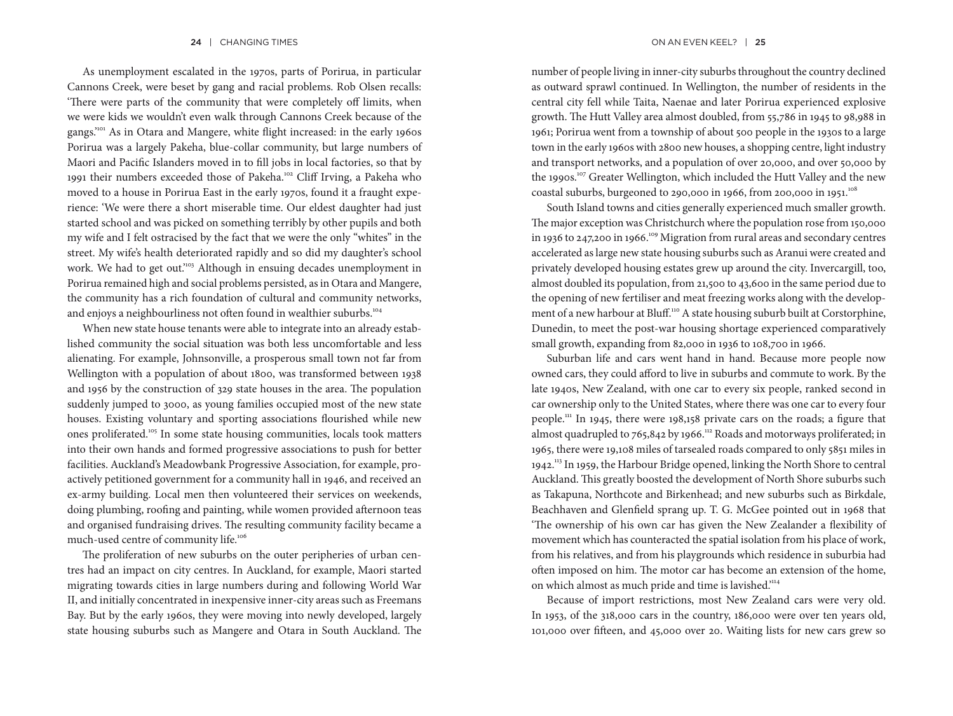As unemployment escalated in the 1970s, parts of Porirua, in particular Cannons Creek, were beset by gang and racial problems. Rob Olsen recalls: 'There were parts of the community that were completely off limits, when we were kids we wouldn't even walk through Cannons Creek because of the gangs.'101 As in Otara and Mangere, white flight increased: in the early 1960s Porirua was a largely Pakeha, blue-collar community, but large numbers of Maori and Pacific Islanders moved in to fill jobs in local factories, so that by 1991 their numbers exceeded those of Pakeha.102 Cliff Irving, a Pakeha who moved to a house in Porirua East in the early 1970s, found it a fraught experience: 'We were there a short miserable time. Our eldest daughter had just started school and was picked on something terribly by other pupils and both my wife and I felt ostracised by the fact that we were the only "whites" in the street. My wife's health deteriorated rapidly and so did my daughter's school work. We had to get out."<sup>103</sup> Although in ensuing decades unemployment in Porirua remained high and social problems persisted, as in Otara and Mangere, the community has a rich foundation of cultural and community networks, and enjoys a neighbourliness not often found in wealthier suburbs.<sup>104</sup>

When new state house tenants were able to integrate into an already established community the social situation was both less uncomfortable and less alienating. For example, Johnsonville, a prosperous small town not far from Wellington with a population of about 1800, was transformed between 1938 and 1956 by the construction of 329 state houses in the area. The population suddenly jumped to 3000, as young families occupied most of the new state houses. Existing voluntary and sporting associations flourished while new ones proliferated.105 In some state housing communities, locals took matters into their own hands and formed progressive associations to push for better facilities. Auckland's Meadowbank Progressive Association, for example, proactively petitioned government for a community hall in 1946, and received an ex-army building. Local men then volunteered their services on weekends, doing plumbing, roofing and painting, while women provided afternoon teas and organised fundraising drives. The resulting community facility became a much-used centre of community life.<sup>106</sup>

The proliferation of new suburbs on the outer peripheries of urban centres had an impact on city centres. In Auckland, for example, Maori started migrating towards cities in large numbers during and following World War II, and initially concentrated in inexpensive inner-city areas such as Freemans Bay. But by the early 1960s, they were moving into newly developed, largely state housing suburbs such as Mangere and Otara in South Auckland. The number of people living in inner-city suburbs throughout the country declined as outward sprawl continued. In Wellington, the number of residents in the central city fell while Taita, Naenae and later Porirua experienced explosive growth. The Hutt Valley area almost doubled, from 55,786 in 1945 to 98,988 in 1961; Porirua went from a township of about 500 people in the 1930s to a large town in the early 1960s with 2800 new houses, a shopping centre, light industry and transport networks, and a population of over 20,000, and over 50,000 by the 1990s.<sup>107</sup> Greater Wellington, which included the Hutt Valley and the new coastal suburbs, burgeoned to 290,000 in 1966, from 200,000 in 1951.<sup>108</sup>

South Island towns and cities generally experienced much smaller growth. The major exception was Christchurch where the population rose from 150,000 in 1936 to 247,200 in 1966.<sup>109</sup> Migration from rural areas and secondary centres accelerated as large new state housing suburbs such as Aranui were created and privately developed housing estates grew up around the city. Invercargill, too, almost doubled its population, from 21,500 to 43,600 in the same period due to the opening of new fertiliser and meat freezing works along with the development of a new harbour at Bluff.<sup>110</sup> A state housing suburb built at Corstorphine, Dunedin, to meet the post-war housing shortage experienced comparatively small growth, expanding from 82,000 in 1936 to 108,700 in 1966.

Suburban life and cars went hand in hand. Because more people now owned cars, they could afford to live in suburbs and commute to work. By the late 1940s, New Zealand, with one car to every six people, ranked second in car ownership only to the United States, where there was one car to every four people.111 In 1945, there were 198,158 private cars on the roads; a figure that almost quadrupled to 765,842 by 1966.<sup>112</sup> Roads and motorways proliferated; in 1965, there were 19,108 miles of tarsealed roads compared to only 5851 miles in 1942.113 In 1959, the Harbour Bridge opened, linking the North Shore to central Auckland. This greatly boosted the development of North Shore suburbs such as Takapuna, Northcote and Birkenhead; and new suburbs such as Birkdale, Beachhaven and Glenfield sprang up. T. G. McGee pointed out in 1968 that 'The ownership of his own car has given the New Zealander a flexibility of movement which has counteracted the spatial isolation from his place of work, from his relatives, and from his playgrounds which residence in suburbia had often imposed on him. The motor car has become an extension of the home, on which almost as much pride and time is lavished."<sup>114</sup>

Because of import restrictions, most New Zealand cars were very old. In 1953, of the 318,000 cars in the country, 186,000 were over ten years old, 101,000 over fifteen, and 45,000 over 20. Waiting lists for new cars grew so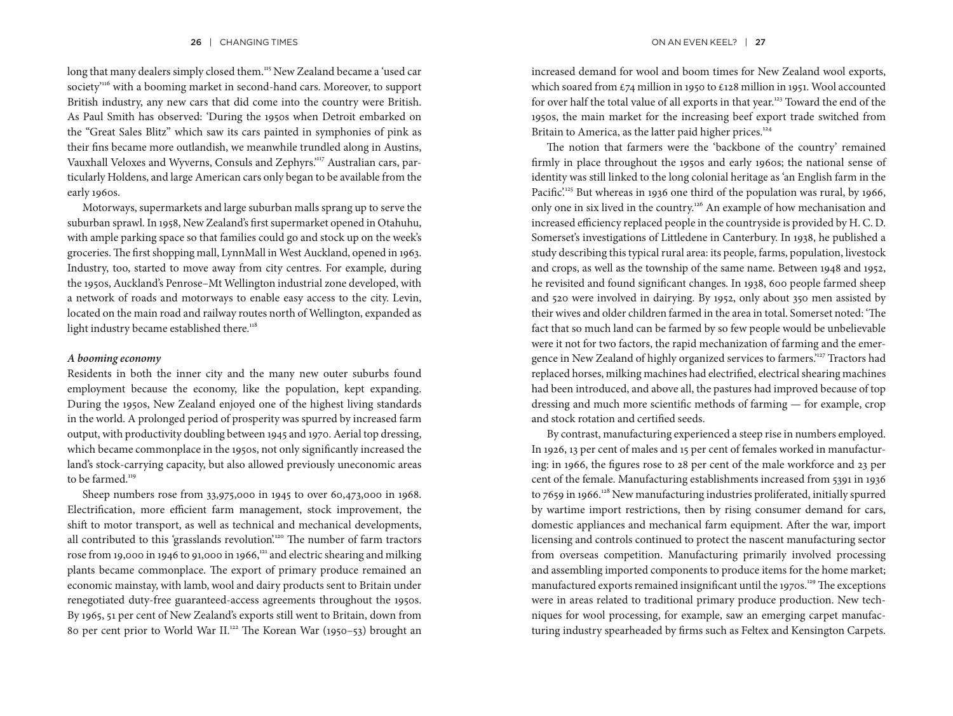long that many dealers simply closed them.<sup>115</sup> New Zealand became a 'used car society<sup>116</sup> with a booming market in second-hand cars. Moreover, to support British industry, any new cars that did come into the country were British. As Paul Smith has observed: 'During the 1950s when Detroit embarked on the "Great Sales Blitz" which saw its cars painted in symphonies of pink as their fins became more outlandish, we meanwhile trundled along in Austins, Vauxhall Veloxes and Wyverns, Consuls and Zephyrs.'117 Australian cars, particularly Holdens, and large American cars only began to be available from the early 1960s.

Motorways, supermarkets and large suburban malls sprang up to serve the suburban sprawl. In 1958, New Zealand's first supermarket opened in Otahuhu, with ample parking space so that families could go and stock up on the week's groceries. The first shopping mall, LynnMall in West Auckland, opened in 1963. Industry, too, started to move away from city centres. For example, during the 1950s, Auckland's Penrose–Mt Wellington industrial zone developed, with a network of roads and motorways to enable easy access to the city. Levin, located on the main road and railway routes north of Wellington, expanded as light industry became established there.<sup>118</sup>

#### *A booming economy*

Residents in both the inner city and the many new outer suburbs found employment because the economy, like the population, kept expanding. During the 1950s, New Zealand enjoyed one of the highest living standards in the world. A prolonged period of prosperity was spurred by increased farm output, with productivity doubling between 1945 and 1970. Aerial top dressing, which became commonplace in the 1950s, not only significantly increased the land's stock-carrying capacity, but also allowed previously uneconomic areas to be farmed.<sup>119</sup>

Sheep numbers rose from 33,975,000 in 1945 to over 60,473,000 in 1968. Electrification, more efficient farm management, stock improvement, the shift to motor transport, as well as technical and mechanical developments, all contributed to this 'grasslands revolution'.<sup>120</sup> The number of farm tractors rose from 19,000 in 1946 to 91,000 in 1966, $121$  and electric shearing and milking plants became commonplace. The export of primary produce remained an economic mainstay, with lamb, wool and dairy products sent to Britain under renegotiated duty-free guaranteed-access agreements throughout the 1950s. By 1965, 51 per cent of New Zealand's exports still went to Britain, down from 80 per cent prior to World War II.<sup>122</sup> The Korean War (1950-53) brought an increased demand for wool and boom times for New Zealand wool exports, which soared from £74 million in 1950 to £128 million in 1951. Wool accounted for over half the total value of all exports in that year.<sup>123</sup> Toward the end of the 1950s, the main market for the increasing beef export trade switched from Britain to America, as the latter paid higher prices.<sup>124</sup>

The notion that farmers were the 'backbone of the country' remained firmly in place throughout the 1950s and early 1960s; the national sense of identity was still linked to the long colonial heritage as 'an English farm in the Pacific.<sup>125</sup> But whereas in 1936 one third of the population was rural, by 1966, only one in six lived in the country.<sup>126</sup> An example of how mechanisation and increased efficiency replaced people in the countryside is provided by H. C. D. Somerset's investigations of Littledene in Canterbury. In 1938, he published a study describing this typical rural area: its people, farms, population, livestock and crops, as well as the township of the same name. Between 1948 and 1952, he revisited and found significant changes. In 1938, 600 people farmed sheep and 520 were involved in dairying. By 1952, only about 350 men assisted by their wives and older children farmed in the area in total. Somerset noted: 'The fact that so much land can be farmed by so few people would be unbelievable were it not for two factors, the rapid mechanization of farming and the emergence in New Zealand of highly organized services to farmers.'127 Tractors had replaced horses, milking machines had electrified, electrical shearing machines had been introduced, and above all, the pastures had improved because of top dressing and much more scientific methods of farming — for example, crop and stock rotation and certified seeds.

By contrast, manufacturing experienced a steep rise in numbers employed. In 1926, 13 per cent of males and 15 per cent of females worked in manufacturing: in 1966, the figures rose to 28 per cent of the male workforce and 23 per cent of the female. Manufacturing establishments increased from 5391 in 1936 to 7659 in 1966.<sup>128</sup> New manufacturing industries proliferated, initially spurred by wartime import restrictions, then by rising consumer demand for cars, domestic appliances and mechanical farm equipment. After the war, import licensing and controls continued to protect the nascent manufacturing sector from overseas competition. Manufacturing primarily involved processing and assembling imported components to produce items for the home market; manufactured exports remained insignificant until the 1970s.<sup>129</sup> The exceptions were in areas related to traditional primary produce production. New techniques for wool processing, for example, saw an emerging carpet manufacturing industry spearheaded by firms such as Feltex and Kensington Carpets.